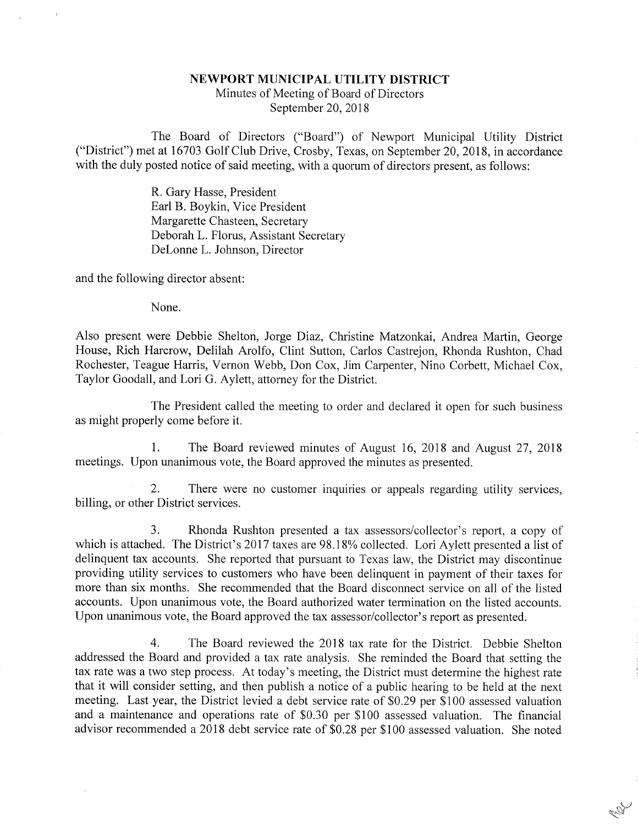## NEWPORT MUNICIPAL UTILITY DISTRICT

Minutes of Meeting of Board of DirectorsSeptember 20, 2018

The Board of Directors ("Board") of Newport Municipal Utility District ("District") met at 16703 Golf Club Drive, Crosby, Texas, on September 20, 2018, in accordancewith the duly posted notice of said meeting, with a quorum of directors present, as follows:

> R. Gary Hasse, President Earl B. Boykin, Vice PresidentMargarette Chasteen, Secretary Deborah L. Florus, Assistant Secretary DeLonne L. Johnson, Director

and the following director absent:

None.

Also present were Debbie Shelton, Jorge Diaz, Christine Matzonkai, Andrea Martin, George House, Rich Harcrow, Delilah Arolfo, Clint Sutton, Carlos Castrejon, Rhonda Rushton, ChadRochester, Teague Harris, Vernon Webb, Don Cox, Jim Carpenter, Nino Corbett, Michael Cox Taylor Goodall, and Lori G. Aylett, attorney for the District.

The President called the meeting to order and declared it open for such businessas might properly come before it.

1. The Board reviewed minutes of August 16, 2018 and August 27, 2018meetings. Upon unanimous vote, the Board approved the minutes as presented.

2. There were no customer inquiries or appeals regarding utility services,billing, or other District services.

3. Rhonda Rushton presented a tax assessors/collector's report, a copy of which is attached. The District's 2017 taxes are 98.18% collected. Lori Aylett presented a list of delinquent tax accounts. She reported that pursuant to Texas law, the District may discontinue providing utility services to customers who have been delinquent in payment of their taxes for more than six months. She recommended that the Board disconnect service on all of the listed accounts. Upon unanimous vote, the Board authorized water termination on the listed accounts.Upon unanimous vote, the Board approved the tax assessor/collector's report as presented.

4. The Board reviewed the 2018 tax rate for the District. Debbie Shelton addressed the Board and provided a tax rate analysis. She reminded the Board that setting the tax rate was a two step process. At today's meeting, the District must determine the highest rate that it will consider setting, and then publish a notice of a public hearing to be held at the next meeting. Last year, the District levied a debt service rate of \$0.29 per \$100 assessed valuationand a maintenance and operations rate of \$0.30 per \$100 assessed valuation. The financia advisor recommended a 2018 debt service rate of \$0,28 per \$100 assessed valuation. She noted

**REST**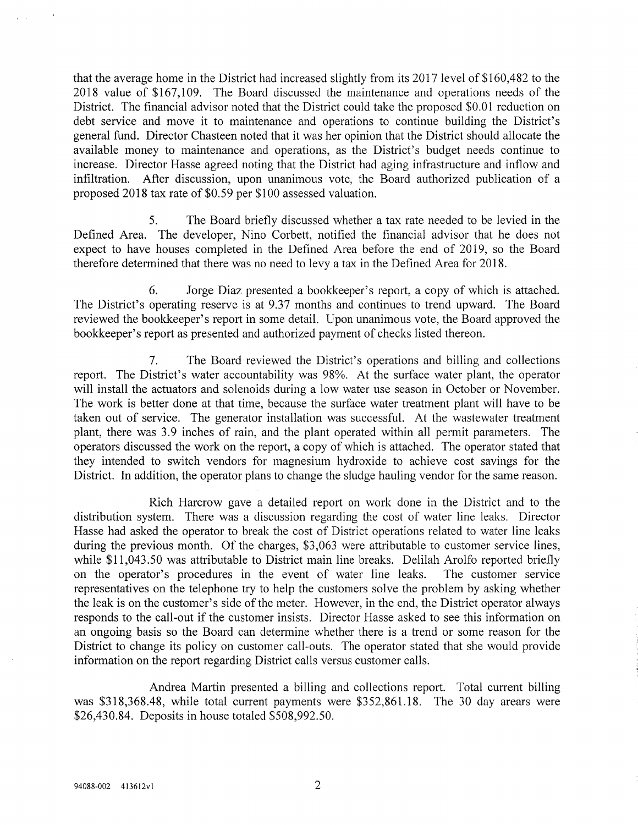that the average home in the District had increased slightly from its 2017 level of \$160,482 to the 2018 value of \$167,109. The Board discussed the maintenance and operations needs of the District. The financial advisor noted that the District could take the proposed \$0.01 reduction on debt service and move it to maintenance and operations to continue building the District's general fund. Director Chasteen noted that it was her opinion that the District should allocate the available money to maintenance and operations, as the District's budget needs continue to increase. Director Hasse agreed noting that the District had aging infrastructure and inflow and infiltration. After discussion, upon unanimous vote, the Board authorized publication of aproposed 2018 tax rate of \$0.59 per \$100 assessed valuation.

5. The Board briefly discussed whether a tax rate needed to be levied in theDefined Area. The developer, Nino Corbett, notified the financial advisor that he does no expect to have houses completed in the Defined Area before the end of 2019, so the Board therefore determined that there was no need to levy a tax in the Defined Area for 2018.

6. Jorge Diaz presented a bookkeeper's report, a copy of which is attached. The District's operating reserve is at 9.37 months and continues to trend upward. The Board reviewed the bookkeeper's report in some detail. Upon unanimous vote, the Board approved thebookkeeper's report as presented and authorized payment of checks listed thereon.

7. The Board reviewed the District's operations and billing and collectionsreport. The District's water accountability was 98%. At the surface water plant, the operator will install the actuators and solenoids during a low water use season in October or November. The work is better done at that time, because the surface water treatment plant will have to betaken out of service. The generator installation was successful. At the wastewater treatment plant, there was 3.9 inches of rain, and the plant operated within all permit parameters. Theoperators discussed the work on the report, a copy of which is attached. The operator stated that they intended to switch vendors for magnesium hydroxide to achieve cost savings for theDistrict. In addition, the operator plans to change the sludge hauling vendor for the same reasor.

Rich Harcrow gave a detailed report on work done in the District and to the distribution system. There was a discussion regarding the cost of water line leaks. Director Hasse had asked the operator to break the cost of District operations related to water line leaksduring the previous month. Of the charges, \$3,063 were attributable to customer service lines while \$11,043.50 was attributable to District main line breaks. Delilah Arolfo reported briefly The customer service on the operator's procedures in the event of water line leaks. representatives on the telephone try to help the customers solve the problem by asking whether the leak is on the customer's side of the meter. However, in the end, the District operator always responds to the call-out if the customer insists. Director Hasse asked to see this information on an ongoing basis so the Board can determine whether there is a trend or some reason for the District to change its policy on customer call-outs. The operator stated that she would provideinformation on the report regarding District calls versus customer calls.

Andrea Martin presented a billing and collections report. Total current billing was \$318,368.48, while total current payments were \$352,861.18. The 30 day arears were\$26,430.84. Deposits in house totaled \$508,992.50.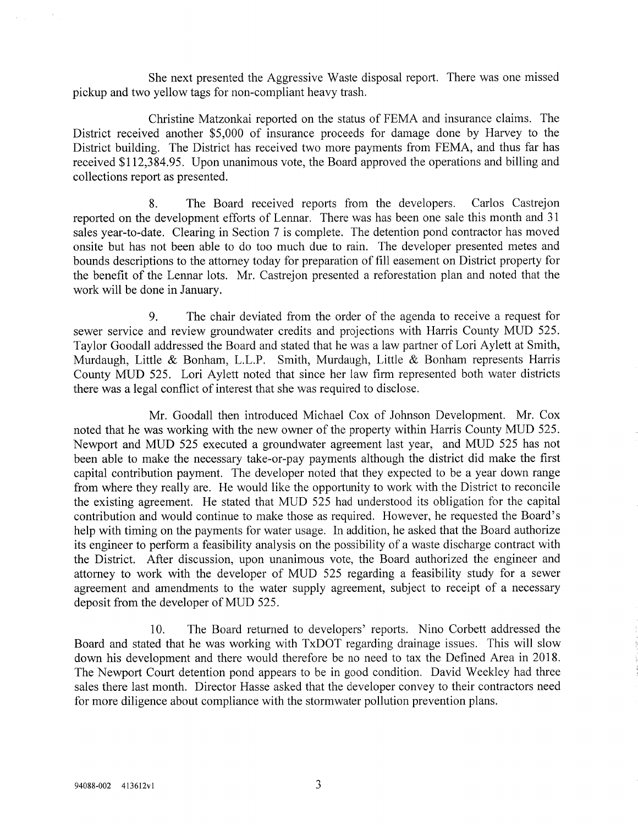She next presented the Aggressive Waste disposal report. There was one missedpickup and two yellow tags for non-compliant heavy trash.

Christine Matzonkai reported on the status of FEMA and insurance claims. The District received another \$5,000 of insurance proceeds for damage done by Harvey to the District building. The District has received two more payments from FEMA, and thus far has received \$112,384.95. Upon unanimous vote, the Board approved the operations and billing andcollections report as presented.

8. The Board received reports from the developers. Carlos Castrejon reported on the development efforts of Lennar. There was has been one sale this month and 31 sales year-to-date. Clearing in Section 7 is complete. The detention pond contractor has moved onsite but has not been able to do too much due to rain. The developer presented metes andbounds descriptions to the attorney today for preparation of fill easement on District property fo the benefit of the Lennar lots. Mr. Castrejon presented a reforestation plan and noted that thework will be done in January.

9. The chair deviated from the order of the agenda to receive a request for sewer service and review groundwater credits and projections with Harris County MUD 525. Taylor Goodall addressed the Board and stated that he was a law partner of Lori Aylett at Smith, Murdaugh, Little & Bonham, L.L.P. Smith, Murdaugh, Little & Bonham represents HarrisCounty MUD 525. Lori Aylett noted that since her law firm represented both water district there was a legal conflict of interest that she was required to disclose.

Mr. Goodall then introduced Michael Cox of Johnson Development. Mr. Cox noted that he was working with the new owner of the property within Harris County MUD 525. Newport and MUD 525 executed a groundwater agreement last year, and MUD 525 has notbeen able to make the necessary take-or-pay payments although the district did make the firs capital contribution payment. The developer noted that they expected to be a year down range from where they really are. He would like the opportunity to work with the District to reconcile the existing agreement. He stated that MUD 525 had understood its obligation for the capital contribution and would continue to make those as required. However, he requested the Board's help with timing on the payments for water usage. In addition, he asked that the Board authorize its engineer to perform a feasibility analysis on the possibility of a waste discharge contract with the District. After discussion, upon unanimous vote, the Board authorized the engineer andattorney to work with the developer of MUD 525 regarding a feasibility study for a sewer agreement and amendments to the water supply agreement, subject to receipt of a necessarydeposit from the developer of MUD 525.

10. The Board returned to developers' reports. Nino Corbett addressed the Board and stated that he was working with TxDOT regarding drainage issues. This will slow down his development and there would therefore be no need to tax the Defined Area in 2018. The Newport Court detention pond appears to be in good condition. David Weekley had threesales there last month. Director Hasse asked that the developer convey to their contractors need for more diligence about compliance with the stormwater pollution prevention plans.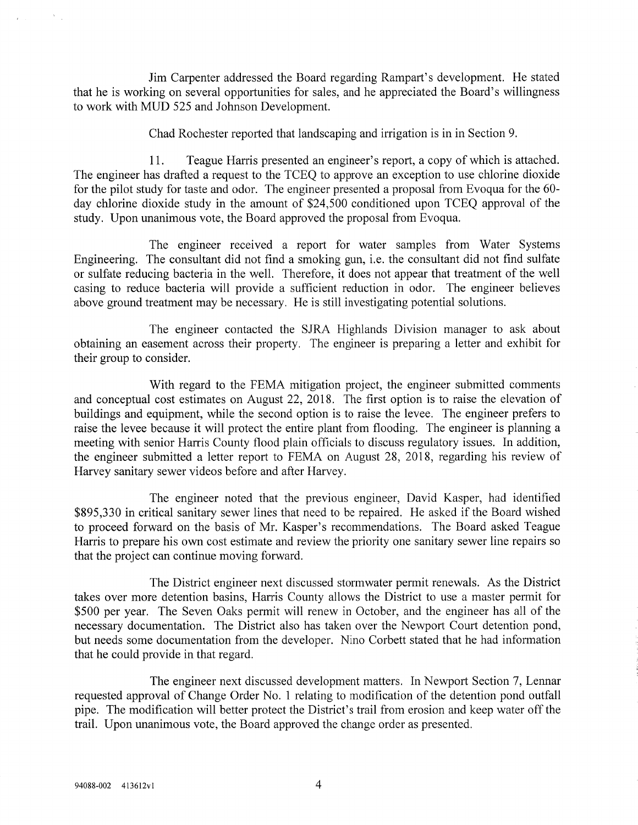Jim Carpenter addressed the Board regarding Rampart's development. He stated that he is working on several opportunities for sales, and he appreciated the Board's willingnessto work with MUD 525 and Johnson Development.

Chad Rochester reported that landscaping and irrigation is in in Section 9.

11, Teague Harris presented an engineer's report, a copy of which is attached. The engineer has drafted a request to the TCEQ to approve an exception to use chlorine dioxide for the pilot study for taste and odor. The engineer presented a proposal from Evoqua for the 60 day chlorine dioxide study in the amount of \$24,500 conditioned upon TCEQ approval of thestudy. Upon unanimous vote, the Board approved the proposal from Evoqua.

The engineer received a report for water samples from Water Systems Engineering. The consultant did not find a smoking gun, i.e. the consultant did not find sulfateor sulfate reducing bacteria in the well. Therefore, it does not appear that treatment of the wel casing to reduce bacteria will provide a sufficient reduction in odor. The engineer believesabove ground treatment may be necessary. He is still investigating potential solutions.

The engineer contacted the SJRA Highlands Division manager to ask aboutobtaining an easement across their property. The engineer is preparing a letter and exhibit fo their group to consider.

With regard to the FEMA mitigation project, the engineer submitted comments and conceptual cost estimates on August 22, 2018. The first option is to raise the elevation of buildings and equipment, while the second option is to raise the levee. The engineer prefers to raise the levee because it will protect the entire plant from flooding. The engineer is planning a meeting with senior Harris County flood plain officials to discuss regulatory issues. In addition, the engineer submitted a letter report to FEMA on August 28, 2018, regarding his review ofHarvey sanitary sewer videos before and after Harvey.

The engineer noted that the previous engineer, David Kasper, had identified \$895,330 in critical sanitary sewer lines that need to be repaired. He asked if the Board wished to proceed forward on the basis of Mr. Kasper's recommendations. The Board asked Teague Harris to prepare his own cost estimate and review the priority one sanitary sewer line repairs sothat the project can continue moving forward.

The District engineer next discussed stormwater permit renewals. As the Districttakes over more detention basins, Harris County allows the District to use a master permit fo \$500 per year. The Seven Oaks permit will renew in October, and the engineer has all of the necessary documentation. The District also has taken over the Newport Court detention pond, but needs some documentation from the developer. Nino Corbett stated that he had informationthat he could provide in that regard.

The engineer next discussed development matters. In Newport Section 7, Lennar requested approval of Change Order No. 1 relating to modification of the detention pond outfall pipe. The modification will better protect the District's trail from erosion and keep water off thetrail. Upon unanimous vote, the Board approved the change order as presented.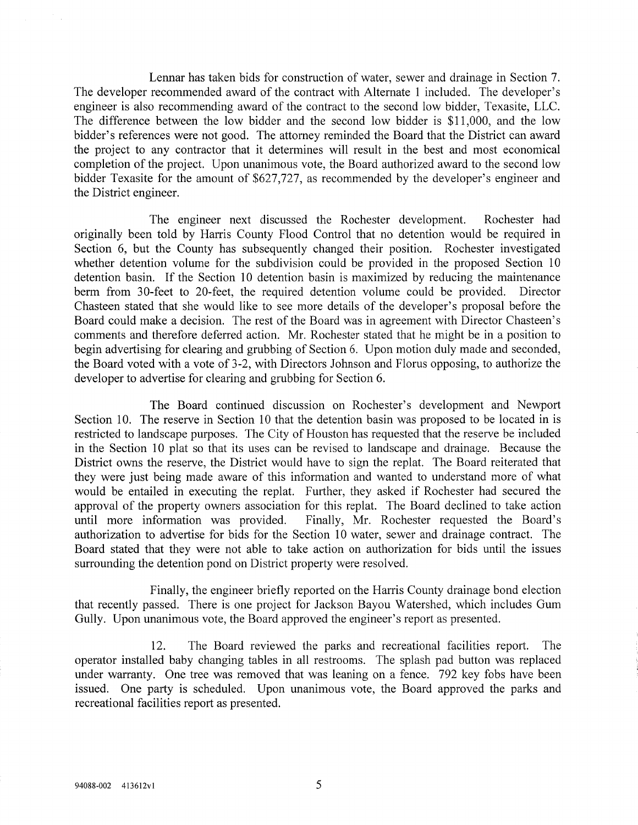Lennar has taken bids for construction of water, sewer and drainage in Section 7. The developer recommended award of the contract with Alternate 1 included. The developer's engineer is also recommending award of the contract to the second low bidder, Texasite, LLC. The difference between the low bidder and the second low bidder is \$11,000, and the low bidder's references were not good. The attorney reminded the Board that the District can award the project to any contractor that it determines will result in the best and most economical completion of the project. Upon unanimous vote, the Board authorized award to the second lowbidder Texasite for the amount of  $$627,727$ , as recommended by the developer's engineer and the District engineer.

The engineer next discussed the Rochester development. Rochester had originally been told by Harris County Flood Control that no detention would be required in Section 6, but the County has subsequently changed their position. Rochester investigated whether detention volume for the subdivision could be provided in the proposed Section 10 detention basin. If the Section 10 detention basin is maximized by reducing the maintenance berm from 30-feet to 20-feet, the required detention volume could be provided. Director Chasteen stated that she would like to see more details of the developer's proposal before the Board could make a decision. The rest of the Board was in agreement with Director Chasteen's comments and therefore deferred action. Mr. Rochester stated that he might be in a position to begin advertising for clearing and grubbing of Section 6. Upon motion duly made and seconded,the Board voted with a vote of 3-2, with Directors Johnson and Florus opposing, to authorize the developer to advertise for clearing and grubbing for Section 6.

The Board continued discussion on Rochester's development and Newport Section 10. The reserve in Section 10 that the detention basin was proposed to be located in is restricted to landscape purposes. The City of Houston has requested that the reserve be included in the Section 10 plat so that its uses can be revised to landscape and drainage. Because the District owns the reserve, the District would have to sign the replat. The Board reiterated thatthey were just being made aware of this information and wanted to understand more of wha would be entailed in executing the replat. Further, they asked if Rochester had secured the approval of the property owners association for this replat. The Board declined to take action until more information was provided. Finally, Mr. Rochester requested the Board's authorization to advertise for bids for the Section 10 water, sewer and drainage contract. TheBoard stated that they were not able to take action on authorization for bids until the issue surrounding the detention pond on District property were resolved.

Finally, the engineer briefly reported on the Harris County drainage bond election that recently passed. There is one project for Jackson Bayou Watershed, which includes GumGully. Upon unanimous vote, the Board approved the engineer's report as presented.

12. The Board reviewed the parks and recreational facilities report. The operator installed baby changing tables in all restrooms. The splash pad button was replaced under warranty. One tree was removed that was leaning on a fence. 792 key fobs have been issued. One party is scheduled. Upon unanimous vote, the Board approved the parks andrecreational facilities report as presented.